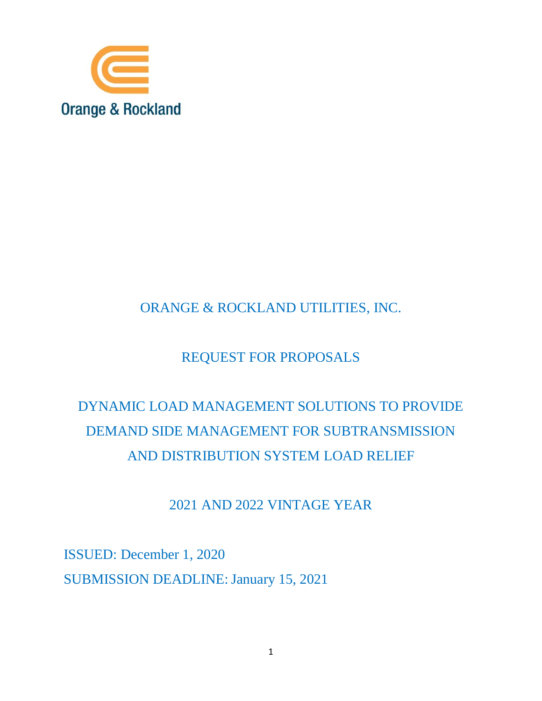

# ORANGE & ROCKLAND UTILITIES, INC.

# REQUEST FOR PROPOSALS

# DYNAMIC LOAD MANAGEMENT SOLUTIONS TO PROVIDE DEMAND SIDE MANAGEMENT FOR SUBTRANSMISSION AND DISTRIBUTION SYSTEM LOAD RELIEF

# 2021 AND 2022 VINTAGE YEAR

ISSUED: December 1, 2020 SUBMISSION DEADLINE: January 15, 2021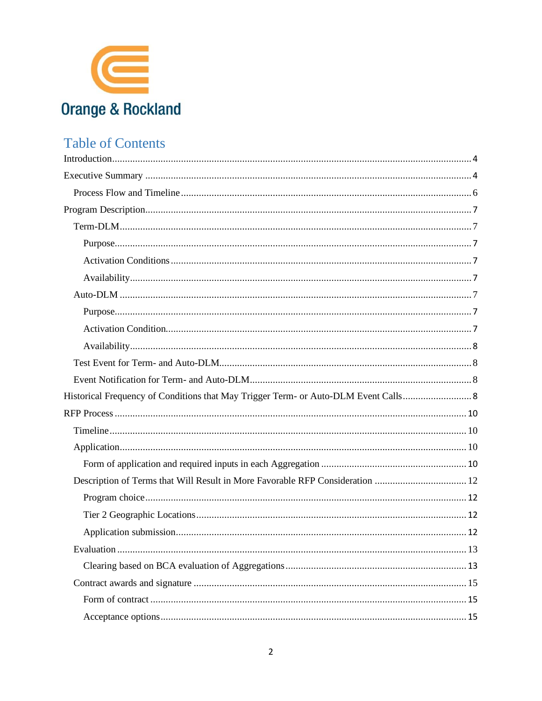

# **Table of Contents**

| Description of Terms that Will Result in More Favorable RFP Consideration  12 |
|-------------------------------------------------------------------------------|
|                                                                               |
|                                                                               |
|                                                                               |
| 13                                                                            |
|                                                                               |
|                                                                               |
|                                                                               |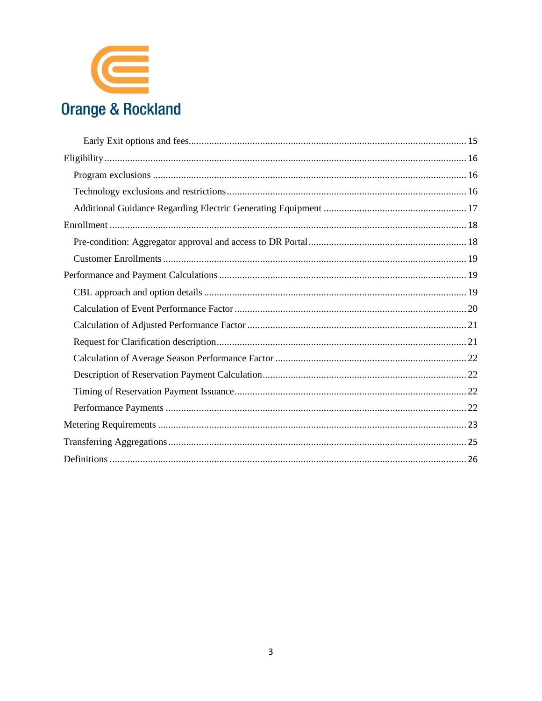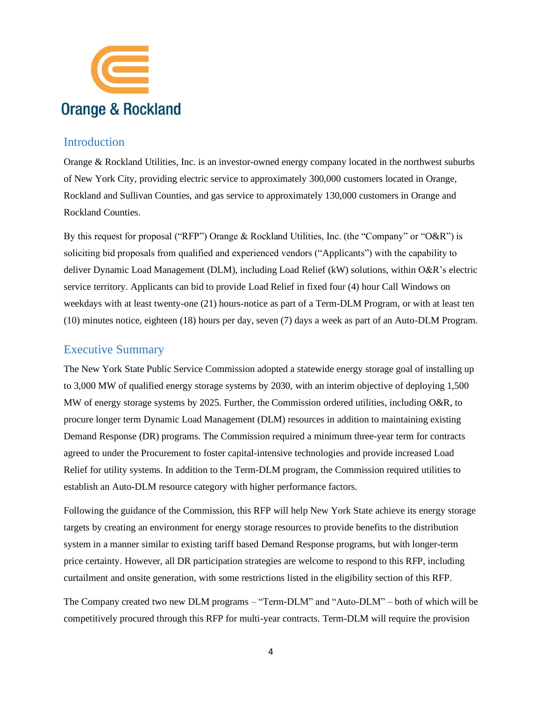

#### <span id="page-3-0"></span>Introduction

Orange & Rockland Utilities, Inc. is an investor-owned energy company located in the northwest suburbs of New York City, providing electric service to approximately 300,000 customers located in Orange, Rockland and Sullivan Counties, and gas service to approximately 130,000 customers in Orange and Rockland Counties.

By this request for proposal ("RFP") Orange & Rockland Utilities, Inc. (the "Company" or "O&R") is soliciting bid proposals from qualified and experienced vendors ("Applicants") with the capability to deliver Dynamic Load Management (DLM), including Load Relief (kW) solutions, within O&R's electric service territory. Applicants can bid to provide Load Relief in fixed four (4) hour Call Windows on weekdays with at least twenty-one (21) hours-notice as part of a Term-DLM Program, or with at least ten (10) minutes notice, eighteen (18) hours per day, seven (7) days a week as part of an Auto-DLM Program.

### <span id="page-3-1"></span>Executive Summary

The New York State Public Service Commission adopted a statewide energy storage goal of installing up to 3,000 MW of qualified energy storage systems by 2030, with an interim objective of deploying 1,500 MW of energy storage systems by 2025. Further, the Commission ordered utilities, including O&R, to procure longer term Dynamic Load Management (DLM) resources in addition to maintaining existing Demand Response (DR) programs. The Commission required a minimum three-year term for contracts agreed to under the Procurement to foster capital-intensive technologies and provide increased Load Relief for utility systems. In addition to the Term-DLM program, the Commission required utilities to establish an Auto-DLM resource category with higher performance factors.

Following the guidance of the Commission, this RFP will help New York State achieve its energy storage targets by creating an environment for energy storage resources to provide benefits to the distribution system in a manner similar to existing tariff based Demand Response programs, but with longer-term price certainty. However, all DR participation strategies are welcome to respond to this RFP, including curtailment and onsite generation, with some restrictions listed in the eligibility section of this RFP.

The Company created two new DLM programs – "Term-DLM" and "Auto-DLM" – both of which will be competitively procured through this RFP for multi-year contracts. Term-DLM will require the provision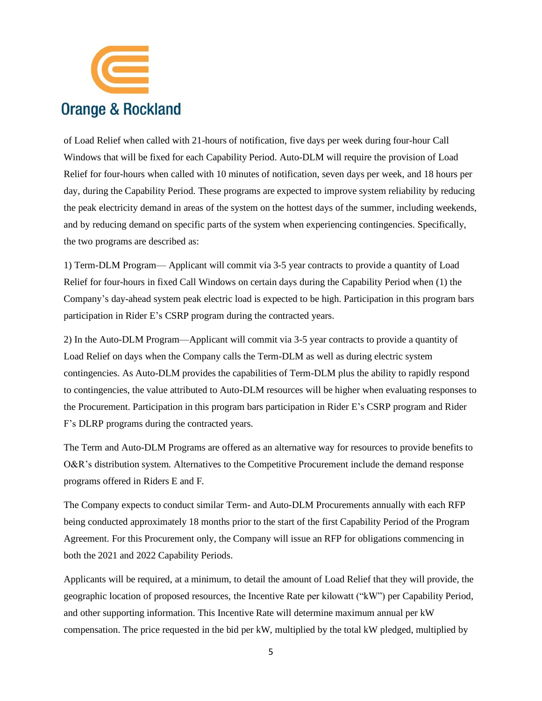

of Load Relief when called with 21-hours of notification, five days per week during four-hour Call Windows that will be fixed for each Capability Period. Auto-DLM will require the provision of Load Relief for four-hours when called with 10 minutes of notification, seven days per week, and 18 hours per day, during the Capability Period. These programs are expected to improve system reliability by reducing the peak electricity demand in areas of the system on the hottest days of the summer, including weekends, and by reducing demand on specific parts of the system when experiencing contingencies. Specifically, the two programs are described as:

1) Term-DLM Program— Applicant will commit via 3-5 year contracts to provide a quantity of Load Relief for four-hours in fixed Call Windows on certain days during the Capability Period when (1) the Company's day-ahead system peak electric load is expected to be high. Participation in this program bars participation in Rider E's CSRP program during the contracted years.

2) In the Auto-DLM Program—Applicant will commit via 3-5 year contracts to provide a quantity of Load Relief on days when the Company calls the Term-DLM as well as during electric system contingencies. As Auto-DLM provides the capabilities of Term-DLM plus the ability to rapidly respond to contingencies, the value attributed to Auto-DLM resources will be higher when evaluating responses to the Procurement. Participation in this program bars participation in Rider E's CSRP program and Rider F's DLRP programs during the contracted years.

The Term and Auto-DLM Programs are offered as an alternative way for resources to provide benefits to O&R's distribution system. Alternatives to the Competitive Procurement include the demand response programs offered in Riders E and F.

The Company expects to conduct similar Term- and Auto-DLM Procurements annually with each RFP being conducted approximately 18 months prior to the start of the first Capability Period of the Program Agreement. For this Procurement only, the Company will issue an RFP for obligations commencing in both the 2021 and 2022 Capability Periods.

Applicants will be required, at a minimum, to detail the amount of Load Relief that they will provide, the geographic location of proposed resources, the Incentive Rate per kilowatt ("kW") per Capability Period, and other supporting information. This Incentive Rate will determine maximum annual per kW compensation. The price requested in the bid per kW, multiplied by the total kW pledged, multiplied by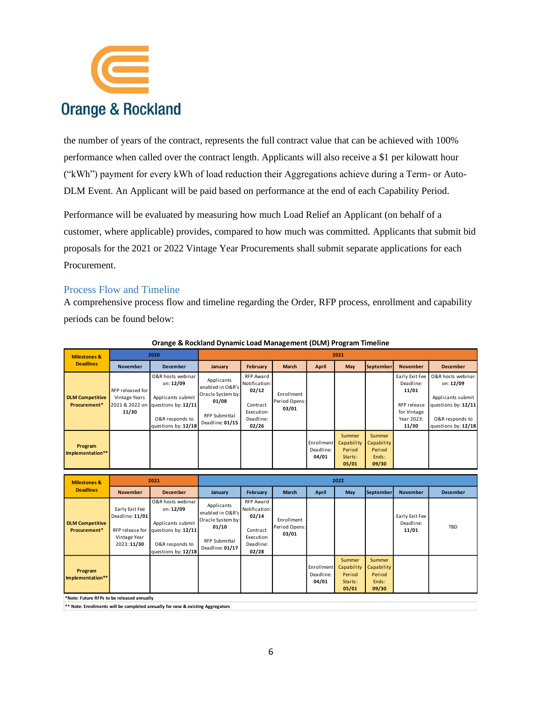

the number of years of the contract, represents the full contract value that can be achieved with 100% performance when called over the contract length. Applicants will also receive a \$1 per kilowatt hour ("kWh") payment for every kWh of load reduction their Aggregations achieve during a Term- or Auto-DLM Event. An Applicant will be paid based on performance at the end of each Capability Period.

Performance will be evaluated by measuring how much Load Relief an Applicant (on behalf of a customer, where applicable) provides, compared to how much was committed. Applicants that submit bid proposals for the 2021 or 2022 Vintage Year Procurements shall submit separate applications for each Procurement.

#### <span id="page-5-0"></span>Process Flow and Timeline

A comprehensive process flow and timeline regarding the Order, RFP process, enrollment and capability periods can be found below:

| <b>Milestones &amp;</b>                | 2020                                       |                                                                                                                                      | 2021                                                                                                    |                                                                                           |                                      |                                  |                                                    |                                                  |                                                                                           |                                                                                                                      |
|----------------------------------------|--------------------------------------------|--------------------------------------------------------------------------------------------------------------------------------------|---------------------------------------------------------------------------------------------------------|-------------------------------------------------------------------------------------------|--------------------------------------|----------------------------------|----------------------------------------------------|--------------------------------------------------|-------------------------------------------------------------------------------------------|----------------------------------------------------------------------------------------------------------------------|
| <b>Deadlines</b>                       | <b>November</b>                            | <b>December</b>                                                                                                                      | January                                                                                                 | February                                                                                  | <b>March</b>                         | April                            | May                                                | <b>September</b>                                 | <b>November</b>                                                                           | <b>December</b>                                                                                                      |
| <b>DLM Competitive</b><br>Procurement* | RFP released for<br>Vintage Years<br>11/30 | O&R hosts webinar<br>on: 12/09<br>Applicants submit<br>2021 & 2022 on: questions by: 12/11<br>O&R responds to<br>questions by: 12/18 | Applicants<br>enabled in O&R's<br>Oracle System by:<br>01/08<br><b>RFP Submittal</b><br>Deadline: 01/15 | <b>RFP Award</b><br>Notification:<br>02/12<br>Contract<br>Execution<br>Deadline:<br>02/26 | Enrollment<br>Period Opens:<br>03/01 |                                  |                                                    |                                                  | Early Exit Fee<br>Deadline:<br>11/01<br>RFP release<br>for Vintage<br>Year 2023:<br>11/30 | O&R hosts webinar<br>on: 12/09<br>Applicants submit<br>questions by: 12/11<br>O&R responds to<br>questions by: 12/18 |
| Program<br>Implementation**            |                                            |                                                                                                                                      |                                                                                                         |                                                                                           |                                      | Enrollment<br>Deadline:<br>04/01 | Summer<br>Capability<br>Period<br>Starts:<br>05/01 | Summer<br>Capability<br>Period<br>Ends:<br>09/30 |                                                                                           |                                                                                                                      |

#### **Orange & Rockland Dynamic Load Management (DLM) Program Timeline**

| <b>Milestones &amp;</b><br><b>Deadlines</b> | 2021                                                            |                                                                                                                                      | 2022                                                                                                    |                                                                                           |                                      |                                  |                                                    |                                                         |                                      |                 |
|---------------------------------------------|-----------------------------------------------------------------|--------------------------------------------------------------------------------------------------------------------------------------|---------------------------------------------------------------------------------------------------------|-------------------------------------------------------------------------------------------|--------------------------------------|----------------------------------|----------------------------------------------------|---------------------------------------------------------|--------------------------------------|-----------------|
|                                             | <b>November</b>                                                 | <b>December</b>                                                                                                                      | January                                                                                                 | February                                                                                  | March                                | April                            | May                                                | <b>September</b>                                        | <b>November</b>                      | <b>December</b> |
| <b>DLM Competitive</b><br>Procurement*      | Early Exit Fee<br>Deadline: 11/01<br>Vintage Year<br>2023:11/30 | O&R hosts webinar<br>on: 12/09<br>Applicants submit<br>RFP release for questions by: 12/11<br>O&R responds to<br>questions by: 12/18 | Applicants<br>enabled in O&R's<br>Oracle System by:<br>01/10<br><b>RFP Submittal</b><br>Deadline: 01/17 | <b>RFP Award</b><br>Notification:<br>02/14<br>Contract<br>Execution<br>Deadline:<br>02/28 | Enrollment<br>Period Opens:<br>03/01 |                                  |                                                    |                                                         | Early Exit Fee<br>Deadline:<br>11/01 | <b>TBD</b>      |
| Program<br>Implementation**                 |                                                                 |                                                                                                                                      |                                                                                                         |                                                                                           |                                      | Enrollment<br>Deadline:<br>04/01 | Summer<br>Capability<br>Period<br>Starts:<br>05/01 | Summer<br><b>Capability</b><br>Period<br>Ends:<br>09/30 |                                      |                 |

**\*Note: Future RFPs to be released annually**

**\*\* Note: Enrollments will be completed annually for new & existing Aggregators**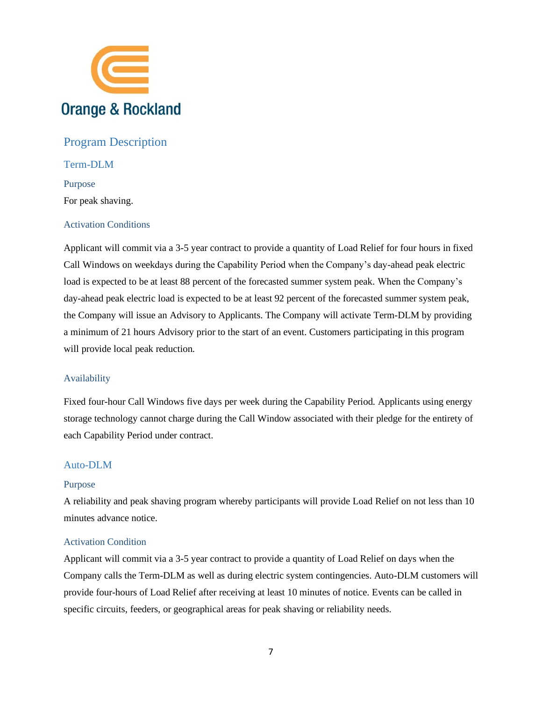

### <span id="page-6-0"></span>Program Description

<span id="page-6-2"></span><span id="page-6-1"></span>Term-DLM Purpose For peak shaving.

#### <span id="page-6-3"></span>Activation Conditions

Applicant will commit via a 3-5 year contract to provide a quantity of Load Relief for four hours in fixed Call Windows on weekdays during the Capability Period when the Company's day-ahead peak electric load is expected to be at least 88 percent of the forecasted summer system peak. When the Company's day-ahead peak electric load is expected to be at least 92 percent of the forecasted summer system peak, the Company will issue an Advisory to Applicants. The Company will activate Term-DLM by providing a minimum of 21 hours Advisory prior to the start of an event. Customers participating in this program will provide local peak reduction.

#### <span id="page-6-4"></span>Availability

Fixed four-hour Call Windows five days per week during the Capability Period. Applicants using energy storage technology cannot charge during the Call Window associated with their pledge for the entirety of each Capability Period under contract.

#### <span id="page-6-5"></span>Auto-DLM

#### <span id="page-6-6"></span>Purpose

A reliability and peak shaving program whereby participants will provide Load Relief on not less than 10 minutes advance notice.

#### <span id="page-6-7"></span>Activation Condition

Applicant will commit via a 3-5 year contract to provide a quantity of Load Relief on days when the Company calls the Term-DLM as well as during electric system contingencies. Auto-DLM customers will provide four-hours of Load Relief after receiving at least 10 minutes of notice. Events can be called in specific circuits, feeders, or geographical areas for peak shaving or reliability needs.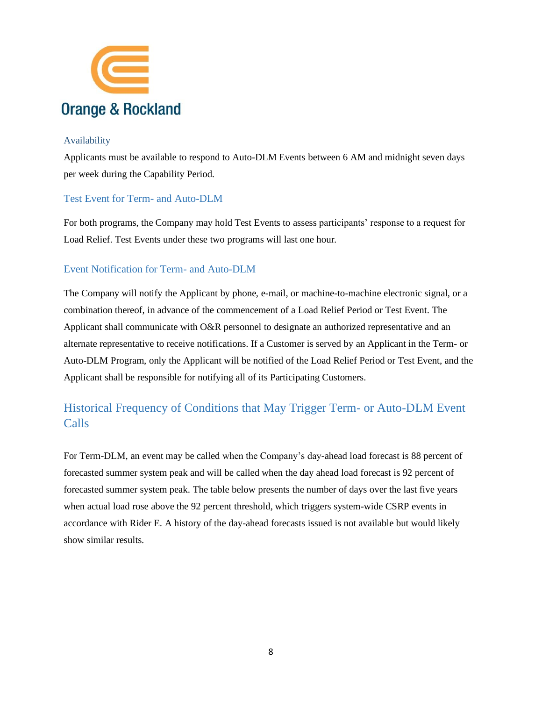

#### <span id="page-7-0"></span>Availability

Applicants must be available to respond to Auto-DLM Events between 6 AM and midnight seven days per week during the Capability Period.

#### <span id="page-7-1"></span>Test Event for Term- and Auto-DLM

For both programs, the Company may hold Test Events to assess participants' response to a request for Load Relief. Test Events under these two programs will last one hour.

#### <span id="page-7-2"></span>Event Notification for Term- and Auto-DLM

The Company will notify the Applicant by phone, e-mail, or machine-to-machine electronic signal, or a combination thereof, in advance of the commencement of a Load Relief Period or Test Event. The Applicant shall communicate with O&R personnel to designate an authorized representative and an alternate representative to receive notifications. If a Customer is served by an Applicant in the Term- or Auto-DLM Program, only the Applicant will be notified of the Load Relief Period or Test Event, and the Applicant shall be responsible for notifying all of its Participating Customers.

# <span id="page-7-3"></span>Historical Frequency of Conditions that May Trigger Term- or Auto-DLM Event Calls

For Term-DLM, an event may be called when the Company's day-ahead load forecast is 88 percent of forecasted summer system peak and will be called when the day ahead load forecast is 92 percent of forecasted summer system peak. The table below presents the number of days over the last five years when actual load rose above the 92 percent threshold, which triggers system-wide CSRP events in accordance with Rider E. A history of the day-ahead forecasts issued is not available but would likely show similar results.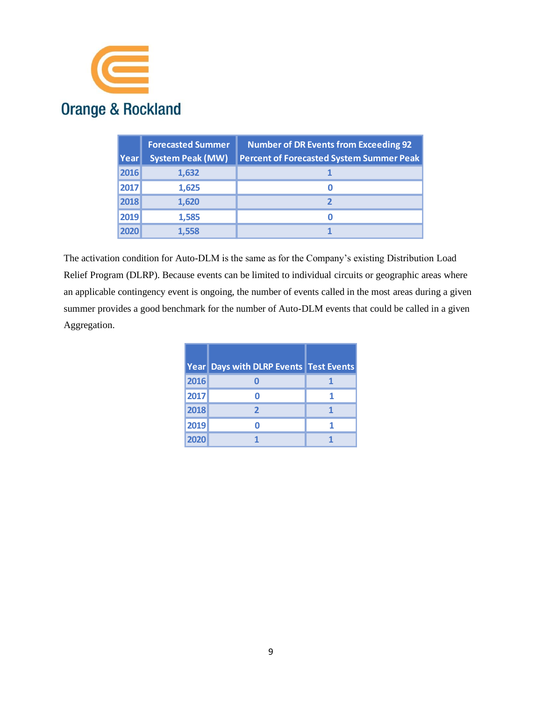

| Year | <b>Forecasted Summer</b><br><b>System Peak (MW)</b> | <b>Number of DR Events from Exceeding 92</b><br><b>Percent of Forecasted System Summer Peak</b> |
|------|-----------------------------------------------------|-------------------------------------------------------------------------------------------------|
| 2016 | 1,632                                               |                                                                                                 |
| 2017 | 1,625                                               |                                                                                                 |
| 2018 | 1,620                                               |                                                                                                 |
| 2019 | 1,585                                               | O                                                                                               |
| 2020 | 1.558                                               |                                                                                                 |

The activation condition for Auto-DLM is the same as for the Company's existing Distribution Load Relief Program (DLRP). Because events can be limited to individual circuits or geographic areas where an applicable contingency event is ongoing, the number of events called in the most areas during a given summer provides a good benchmark for the number of Auto-DLM events that could be called in a given Aggregation.

|      | Year Days with DLRP Events Test Events |  |
|------|----------------------------------------|--|
| 2016 |                                        |  |
| 2017 |                                        |  |
| 2018 | 2                                      |  |
| 2019 |                                        |  |
| 2020 |                                        |  |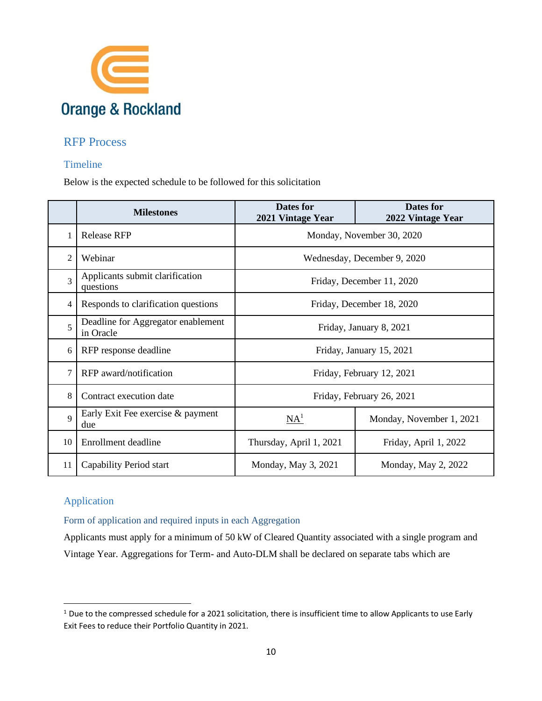

## <span id="page-9-0"></span>RFP Process

#### <span id="page-9-1"></span>Timeline

Below is the expected schedule to be followed for this solicitation

|                | <b>Milestones</b>                                                         | Dates for<br>Dates for<br>2021 Vintage Year<br>2022 Vintage Year |                           |  |  |
|----------------|---------------------------------------------------------------------------|------------------------------------------------------------------|---------------------------|--|--|
|                | <b>Release RFP</b>                                                        | Monday, November 30, 2020                                        |                           |  |  |
| $\overline{2}$ | Webinar                                                                   | Wednesday, December 9, 2020                                      |                           |  |  |
| 3              | Applicants submit clarification<br>Friday, December 11, 2020<br>questions |                                                                  |                           |  |  |
| 4              | Responds to clarification questions                                       | Friday, December 18, 2020                                        |                           |  |  |
| $\overline{5}$ | Deadline for Aggregator enablement<br>in Oracle                           | Friday, January 8, 2021                                          |                           |  |  |
| 6              | RFP response deadline                                                     | Friday, January 15, 2021                                         |                           |  |  |
| 7              | RFP award/notification                                                    |                                                                  | Friday, February 12, 2021 |  |  |
| 8              | Contract execution date                                                   |                                                                  | Friday, February 26, 2021 |  |  |
| $\mathbf Q$    | Early Exit Fee exercise & payment<br>due                                  | NA <sup>1</sup>                                                  | Monday, November 1, 2021  |  |  |
| 10             | Enrollment deadline                                                       | Thursday, April 1, 2021                                          | Friday, April 1, 2022     |  |  |
| 11             | Capability Period start                                                   | Monday, May 3, 2021                                              | Monday, May 2, 2022       |  |  |

## <span id="page-9-2"></span>Application

<span id="page-9-3"></span>Form of application and required inputs in each Aggregation

Applicants must apply for a minimum of 50 kW of Cleared Quantity associated with a single program and Vintage Year. Aggregations for Term- and Auto-DLM shall be declared on separate tabs which are

<sup>&</sup>lt;sup>1</sup> Due to the compressed schedule for a 2021 solicitation, there is insufficient time to allow Applicants to use Early Exit Fees to reduce their Portfolio Quantity in 2021.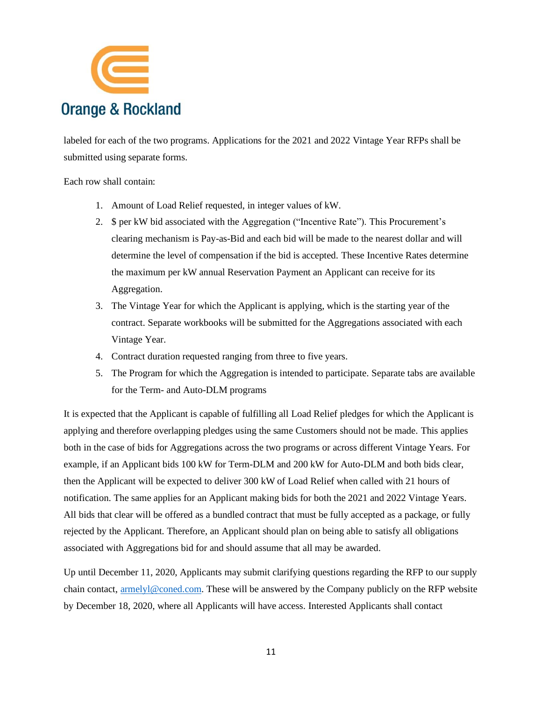

labeled for each of the two programs. Applications for the 2021 and 2022 Vintage Year RFPs shall be submitted using separate forms.

Each row shall contain:

- 1. Amount of Load Relief requested, in integer values of kW.
- 2. \$ per kW bid associated with the Aggregation ("Incentive Rate"). This Procurement's clearing mechanism is Pay-as-Bid and each bid will be made to the nearest dollar and will determine the level of compensation if the bid is accepted. These Incentive Rates determine the maximum per kW annual Reservation Payment an Applicant can receive for its Aggregation.
- 3. The Vintage Year for which the Applicant is applying, which is the starting year of the contract. Separate workbooks will be submitted for the Aggregations associated with each Vintage Year.
- 4. Contract duration requested ranging from three to five years.
- 5. The Program for which the Aggregation is intended to participate. Separate tabs are available for the Term- and Auto-DLM programs

It is expected that the Applicant is capable of fulfilling all Load Relief pledges for which the Applicant is applying and therefore overlapping pledges using the same Customers should not be made. This applies both in the case of bids for Aggregations across the two programs or across different Vintage Years. For example, if an Applicant bids 100 kW for Term-DLM and 200 kW for Auto-DLM and both bids clear, then the Applicant will be expected to deliver 300 kW of Load Relief when called with 21 hours of notification. The same applies for an Applicant making bids for both the 2021 and 2022 Vintage Years. All bids that clear will be offered as a bundled contract that must be fully accepted as a package, or fully rejected by the Applicant. Therefore, an Applicant should plan on being able to satisfy all obligations associated with Aggregations bid for and should assume that all may be awarded.

Up until December 11, 2020, Applicants may submit clarifying questions regarding the RFP to our supply chain contact, [armelyl@coned.com.](mailto:armelyl@coned.com) These will be answered by the Company publicly on the RFP website by December 18, 2020, where all Applicants will have access. Interested Applicants shall contact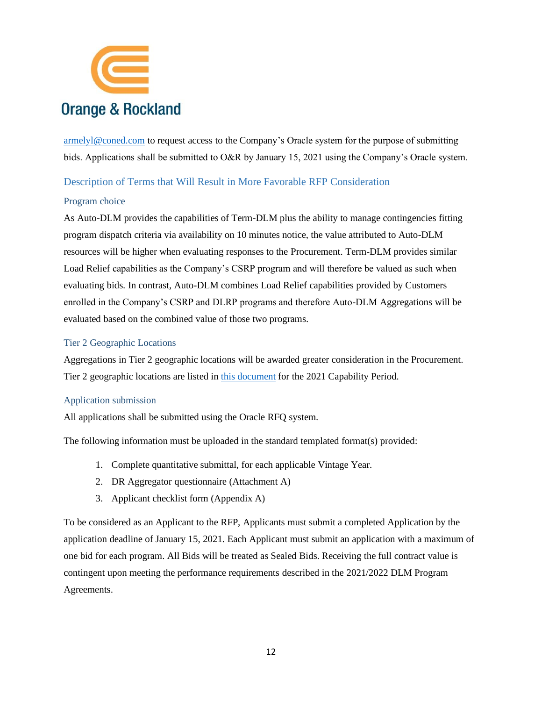

[armelyl@coned.com](mailto:armelyl@coned.com) to request access to the Company's Oracle system for the purpose of submitting bids. Applications shall be submitted to O&R by January 15, 2021 using the Company's Oracle system.

#### <span id="page-11-0"></span>Description of Terms that Will Result in More Favorable RFP Consideration

#### <span id="page-11-1"></span>Program choice

As Auto-DLM provides the capabilities of Term-DLM plus the ability to manage contingencies fitting program dispatch criteria via availability on 10 minutes notice, the value attributed to Auto-DLM resources will be higher when evaluating responses to the Procurement. Term-DLM provides similar Load Relief capabilities as the Company's CSRP program and will therefore be valued as such when evaluating bids. In contrast, Auto-DLM combines Load Relief capabilities provided by Customers enrolled in the Company's CSRP and DLRP programs and therefore Auto-DLM Aggregations will be evaluated based on the combined value of those two programs.

#### <span id="page-11-2"></span>Tier 2 Geographic Locations

Aggregations in Tier 2 geographic locations will be awarded greater consideration in the Procurement. Tier 2 geographic locations are listed in [this document](https://www.oru.com/en/save-money/rebates-incentives-credits/incentives-for-business-customers/demand-response-incentives/demand-response-incentives-payment-options) for the 2021 Capability Period.

#### <span id="page-11-3"></span>Application submission

All applications shall be submitted using the Oracle RFQ system.

The following information must be uploaded in the standard templated format(s) provided:

- 1. Complete quantitative submittal, for each applicable Vintage Year.
- 2. DR Aggregator questionnaire (Attachment A)
- 3. Applicant checklist form (Appendix A)

To be considered as an Applicant to the RFP, Applicants must submit a completed Application by the application deadline of January 15, 2021. Each Applicant must submit an application with a maximum of one bid for each program. All Bids will be treated as Sealed Bids. Receiving the full contract value is contingent upon meeting the performance requirements described in the 2021/2022 DLM Program Agreements.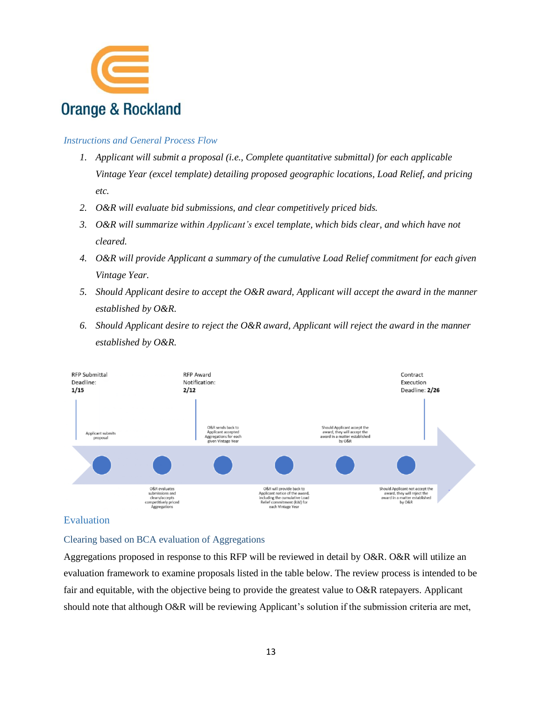

#### *Instructions and General Process Flow*

- *1. Applicant will submit a proposal (i.e., Complete quantitative submittal) for each applicable Vintage Year (excel template) detailing proposed geographic locations, Load Relief, and pricing etc.*
- *2. O&R will evaluate bid submissions, and clear competitively priced bids.*
- *3. O&R will summarize within Applicant's excel template, which bids clear, and which have not cleared.*
- *4. O&R will provide Applicant a summary of the cumulative Load Relief commitment for each given Vintage Year.*
- *5. Should Applicant desire to accept the O&R award, Applicant will accept the award in the manner established by O&R.*
- *6. Should Applicant desire to reject the O&R award, Applicant will reject the award in the manner established by O&R.*



#### <span id="page-12-0"></span>Evaluation

#### <span id="page-12-1"></span>Clearing based on BCA evaluation of Aggregations

Aggregations proposed in response to this RFP will be reviewed in detail by O&R. O&R will utilize an evaluation framework to examine proposals listed in the table below. The review process is intended to be fair and equitable, with the objective being to provide the greatest value to O&R ratepayers. Applicant should note that although O&R will be reviewing Applicant's solution if the submission criteria are met,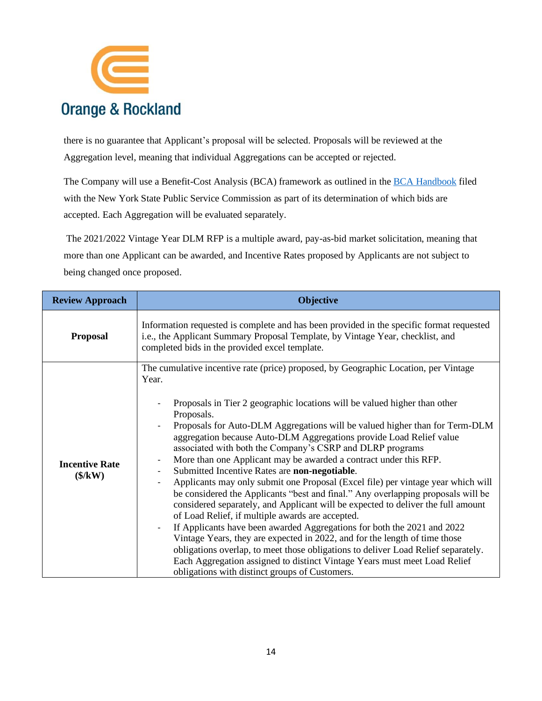

there is no guarantee that Applicant's proposal will be selected. Proposals will be reviewed at the Aggregation level, meaning that individual Aggregations can be accepted or rejected.

The Company will use a Benefit-Cost Analysis (BCA) framework as outlined in the [BCA Handbook](https://www.oru.com/-/media/files/oru/documents/saveenergyandmoney/choose-smart-usage-rewards/customerbaselineloadprocedure.pdf?la=en) filed with the New York State Public Service Commission as part of its determination of which bids are accepted. Each Aggregation will be evaluated separately.

The 2021/2022 Vintage Year DLM RFP is a multiple award, pay-as-bid market solicitation, meaning that more than one Applicant can be awarded, and Incentive Rates proposed by Applicants are not subject to being changed once proposed.

| <b>Review Approach</b>                                                | <b>Objective</b>                                                                                                                                                                                                                                                                                                                                                                                                                                                                                                                                                                                                                                                                                                                                                                                                                                                                                                                                                                                                                                                                                                                                                                                                                                                                      |  |  |  |  |
|-----------------------------------------------------------------------|---------------------------------------------------------------------------------------------------------------------------------------------------------------------------------------------------------------------------------------------------------------------------------------------------------------------------------------------------------------------------------------------------------------------------------------------------------------------------------------------------------------------------------------------------------------------------------------------------------------------------------------------------------------------------------------------------------------------------------------------------------------------------------------------------------------------------------------------------------------------------------------------------------------------------------------------------------------------------------------------------------------------------------------------------------------------------------------------------------------------------------------------------------------------------------------------------------------------------------------------------------------------------------------|--|--|--|--|
| <b>Proposal</b>                                                       | Information requested is complete and has been provided in the specific format requested<br>i.e., the Applicant Summary Proposal Template, by Vintage Year, checklist, and<br>completed bids in the provided excel template.                                                                                                                                                                                                                                                                                                                                                                                                                                                                                                                                                                                                                                                                                                                                                                                                                                                                                                                                                                                                                                                          |  |  |  |  |
| <b>Incentive Rate</b><br>$(\frac{\mathcal{K}}{\mathbf{K}}\mathbf{W})$ | The cumulative incentive rate (price) proposed, by Geographic Location, per Vintage<br>Year.<br>Proposals in Tier 2 geographic locations will be valued higher than other<br>Proposals.<br>Proposals for Auto-DLM Aggregations will be valued higher than for Term-DLM<br>aggregation because Auto-DLM Aggregations provide Load Relief value<br>associated with both the Company's CSRP and DLRP programs<br>More than one Applicant may be awarded a contract under this RFP.<br>$\overline{\phantom{a}}$<br>Submitted Incentive Rates are non-negotiable.<br>$\overline{\phantom{a}}$<br>Applicants may only submit one Proposal (Excel file) per vintage year which will<br>be considered the Applicants "best and final." Any overlapping proposals will be<br>considered separately, and Applicant will be expected to deliver the full amount<br>of Load Relief, if multiple awards are accepted.<br>If Applicants have been awarded Aggregations for both the 2021 and 2022<br>Vintage Years, they are expected in 2022, and for the length of time those<br>obligations overlap, to meet those obligations to deliver Load Relief separately.<br>Each Aggregation assigned to distinct Vintage Years must meet Load Relief<br>obligations with distinct groups of Customers. |  |  |  |  |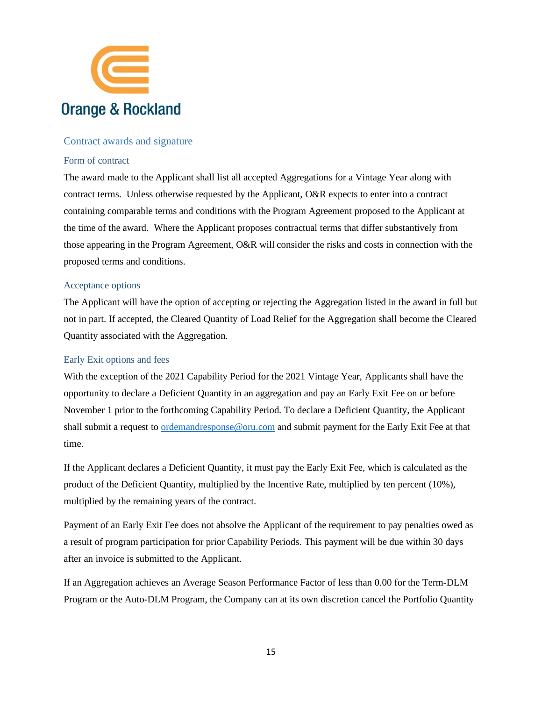

#### <span id="page-14-0"></span>Contract awards and signature

#### <span id="page-14-1"></span>Form of contract

The award made to the Applicant shall list all accepted Aggregations for a Vintage Year along with contract terms. Unless otherwise requested by the Applicant, O&R expects to enter into a contract containing comparable terms and conditions with the Program Agreement proposed to the Applicant at the time of the award. Where the Applicant proposes contractual terms that differ substantively from those appearing in the Program Agreement, O&R will consider the risks and costs in connection with the proposed terms and conditions.

#### <span id="page-14-2"></span>Acceptance options

The Applicant will have the option of accepting or rejecting the Aggregation listed in the award in full but not in part. If accepted, the Cleared Quantity of Load Relief for the Aggregation shall become the Cleared Quantity associated with the Aggregation.

#### <span id="page-14-3"></span>Early Exit options and fees

With the exception of the 2021 Capability Period for the 2021 Vintage Year, Applicants shall have the opportunity to declare a Deficient Quantity in an aggregation and pay an Early Exit Fee on or before November 1 prior to the forthcoming Capability Period. To declare a Deficient Quantity, the Applicant shall submit a request to **ordemandresponse@oru.com** and submit payment for the Early Exit Fee at that time.

If the Applicant declares a Deficient Quantity, it must pay the Early Exit Fee, which is calculated as the product of the Deficient Quantity, multiplied by the Incentive Rate, multiplied by ten percent (10%), multiplied by the remaining years of the contract.

Payment of an Early Exit Fee does not absolve the Applicant of the requirement to pay penalties owed as a result of program participation for prior Capability Periods. This payment will be due within 30 days after an invoice is submitted to the Applicant.

If an Aggregation achieves an Average Season Performance Factor of less than 0.00 for the Term-DLM Program or the Auto-DLM Program, the Company can at its own discretion cancel the Portfolio Quantity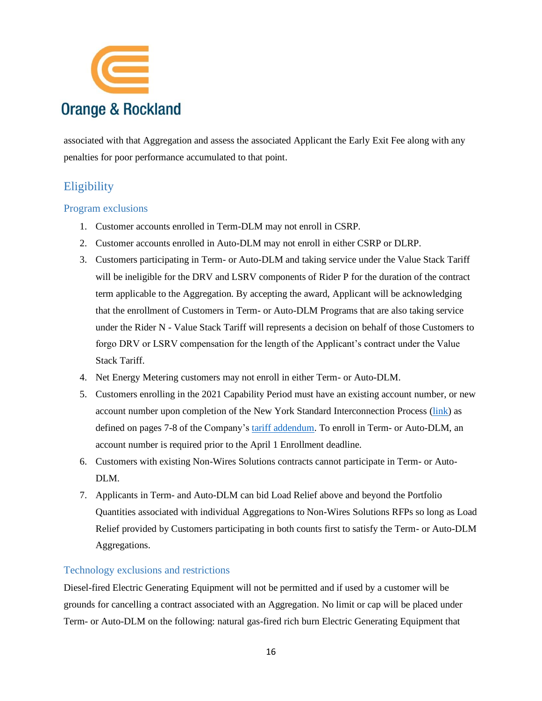

associated with that Aggregation and assess the associated Applicant the Early Exit Fee along with any penalties for poor performance accumulated to that point.

# <span id="page-15-0"></span>**Eligibility**

#### <span id="page-15-1"></span>Program exclusions

- 1. Customer accounts enrolled in Term-DLM may not enroll in CSRP.
- 2. Customer accounts enrolled in Auto-DLM may not enroll in either CSRP or DLRP.
- 3. Customers participating in Term- or Auto-DLM and taking service under the Value Stack Tariff will be ineligible for the DRV and LSRV components of Rider P for the duration of the contract term applicable to the Aggregation. By accepting the award, Applicant will be acknowledging that the enrollment of Customers in Term- or Auto-DLM Programs that are also taking service under the Rider N - Value Stack Tariff will represents a decision on behalf of those Customers to forgo DRV or LSRV compensation for the length of the Applicant's contract under the Value Stack Tariff.
- 4. Net Energy Metering customers may not enroll in either Term- or Auto-DLM.
- 5. Customers enrolling in the 2021 Capability Period must have an existing account number, or new account number upon completion of the New York Standard Interconnection Process [\(link\)](https://www3.dps.ny.gov/W/PSCWeb.nsf/96f0fec0b45a3c6485257688006a701a/dcf68efca391ad6085257687006f396b/$FILE/December%202019%20SIR%20-%20FINAL%20-%20Clean.pdf) as defined on pages 7-8 of the Company's [tariff addendum.](https://www.oru.com/_external/orurates/documents/ny/electrictariff/addendum-SIR-9.pdf) To enroll in Term- or Auto-DLM, an account number is required prior to the April 1 Enrollment deadline.
- 6. Customers with existing Non-Wires Solutions contracts cannot participate in Term- or Auto-DLM.
- 7. Applicants in Term- and Auto-DLM can bid Load Relief above and beyond the Portfolio Quantities associated with individual Aggregations to Non-Wires Solutions RFPs so long as Load Relief provided by Customers participating in both counts first to satisfy the Term- or Auto-DLM Aggregations.

#### <span id="page-15-2"></span>Technology exclusions and restrictions

Diesel-fired Electric Generating Equipment will not be permitted and if used by a customer will be grounds for cancelling a contract associated with an Aggregation. No limit or cap will be placed under Term- or Auto-DLM on the following: natural gas-fired rich burn Electric Generating Equipment that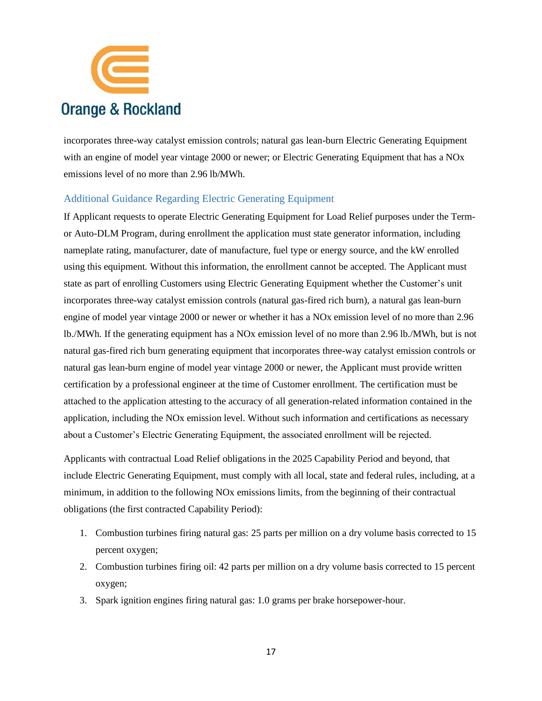![](_page_16_Picture_0.jpeg)

incorporates three-way catalyst emission controls; natural gas lean-burn Electric Generating Equipment with an engine of model year vintage 2000 or newer; or Electric Generating Equipment that has a NOx emissions level of no more than 2.96 lb/MWh.

#### <span id="page-16-0"></span>Additional Guidance Regarding Electric Generating Equipment

If Applicant requests to operate Electric Generating Equipment for Load Relief purposes under the Termor Auto-DLM Program, during enrollment the application must state generator information, including nameplate rating, manufacturer, date of manufacture, fuel type or energy source, and the kW enrolled using this equipment. Without this information, the enrollment cannot be accepted. The Applicant must state as part of enrolling Customers using Electric Generating Equipment whether the Customer's unit incorporates three-way catalyst emission controls (natural gas-fired rich burn), a natural gas lean-burn engine of model year vintage 2000 or newer or whether it has a NOx emission level of no more than 2.96 lb./MWh. If the generating equipment has a NOx emission level of no more than 2.96 lb./MWh, but is not natural gas-fired rich burn generating equipment that incorporates three-way catalyst emission controls or natural gas lean-burn engine of model year vintage 2000 or newer, the Applicant must provide written certification by a professional engineer at the time of Customer enrollment. The certification must be attached to the application attesting to the accuracy of all generation-related information contained in the application, including the NOx emission level. Without such information and certifications as necessary about a Customer's Electric Generating Equipment, the associated enrollment will be rejected.

Applicants with contractual Load Relief obligations in the 2025 Capability Period and beyond, that include Electric Generating Equipment, must comply with all local, state and federal rules, including, at a minimum, in addition to the following NOx emissions limits, from the beginning of their contractual obligations (the first contracted Capability Period):

- 1. Combustion turbines firing natural gas: 25 parts per million on a dry volume basis corrected to 15 percent oxygen;
- 2. Combustion turbines firing oil: 42 parts per million on a dry volume basis corrected to 15 percent oxygen;
- 3. Spark ignition engines firing natural gas: 1.0 grams per brake horsepower-hour.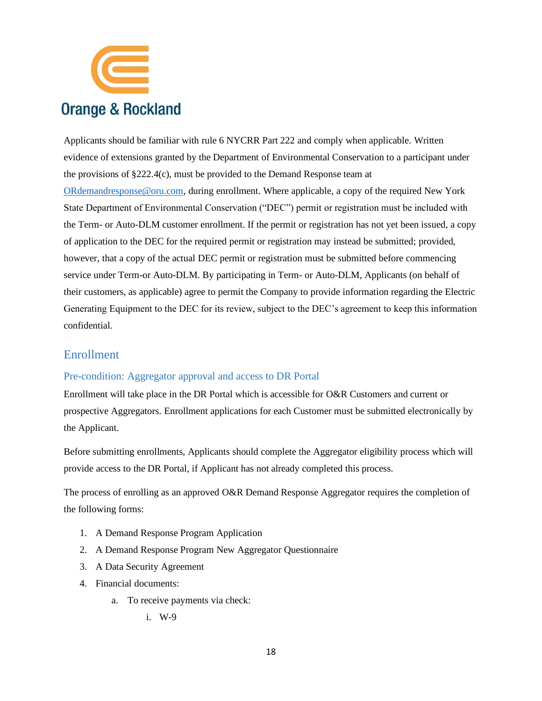![](_page_17_Picture_0.jpeg)

Applicants should be familiar with rule 6 NYCRR Part 222 and comply when applicable. Written evidence of extensions granted by the Department of Environmental Conservation to a participant under the provisions of §222.4(c), must be provided to the Demand Response team at [ORdemandresponse@oru.com,](mailto:ORdemandresponse@oru.com) during enrollment. Where applicable, a copy of the required New York State Department of Environmental Conservation ("DEC") permit or registration must be included with the Term- or Auto-DLM customer enrollment. If the permit or registration has not yet been issued, a copy of application to the DEC for the required permit or registration may instead be submitted; provided, however, that a copy of the actual DEC permit or registration must be submitted before commencing service under Term-or Auto-DLM. By participating in Term- or Auto-DLM, Applicants (on behalf of their customers, as applicable) agree to permit the Company to provide information regarding the Electric Generating Equipment to the DEC for its review, subject to the DEC's agreement to keep this information confidential.

### <span id="page-17-0"></span>Enrollment

#### <span id="page-17-1"></span>Pre-condition: Aggregator approval and access to DR Portal

Enrollment will take place in the DR Portal which is accessible for O&R Customers and current or prospective Aggregators. Enrollment applications for each Customer must be submitted electronically by the Applicant.

Before submitting enrollments, Applicants should complete the Aggregator eligibility process which will provide access to the DR Portal, if Applicant has not already completed this process.

The process of enrolling as an approved O&R Demand Response Aggregator requires the completion of the following forms:

- 1. A Demand Response Program Application
- 2. A Demand Response Program New Aggregator Questionnaire
- 3. A Data Security Agreement
- 4. Financial documents:
	- a. To receive payments via check:
		- i. W-9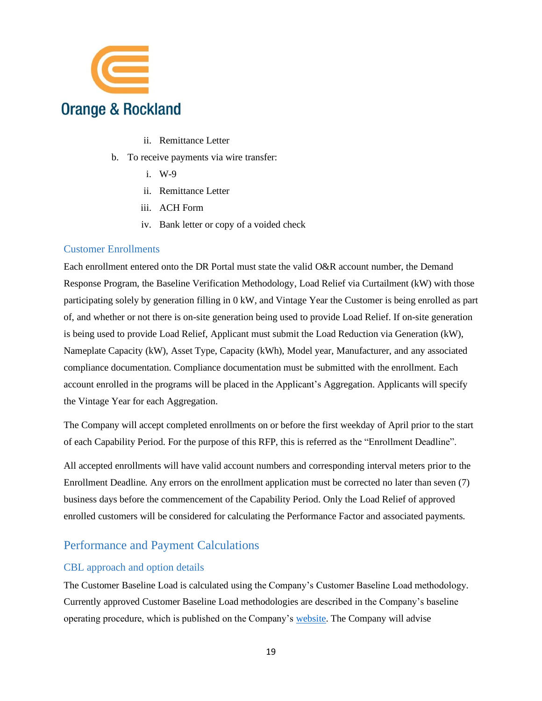![](_page_18_Picture_0.jpeg)

- ii. Remittance Letter
- b. To receive payments via wire transfer:
	- i. W-9
	- ii. Remittance Letter
	- iii. ACH Form
	- iv. Bank letter or copy of a voided check

#### <span id="page-18-0"></span>Customer Enrollments

Each enrollment entered onto the DR Portal must state the valid O&R account number, the Demand Response Program, the Baseline Verification Methodology, Load Relief via Curtailment (kW) with those participating solely by generation filling in 0 kW, and Vintage Year the Customer is being enrolled as part of, and whether or not there is on-site generation being used to provide Load Relief. If on-site generation is being used to provide Load Relief, Applicant must submit the Load Reduction via Generation (kW), Nameplate Capacity (kW), Asset Type, Capacity (kWh), Model year, Manufacturer, and any associated compliance documentation. Compliance documentation must be submitted with the enrollment. Each account enrolled in the programs will be placed in the Applicant's Aggregation. Applicants will specify the Vintage Year for each Aggregation.

The Company will accept completed enrollments on or before the first weekday of April prior to the start of each Capability Period. For the purpose of this RFP, this is referred as the "Enrollment Deadline".

All accepted enrollments will have valid account numbers and corresponding interval meters prior to the Enrollment Deadline. Any errors on the enrollment application must be corrected no later than seven (7) business days before the commencement of the Capability Period. Only the Load Relief of approved enrolled customers will be considered for calculating the Performance Factor and associated payments.

## <span id="page-18-1"></span>Performance and Payment Calculations

#### <span id="page-18-2"></span>CBL approach and option details

The Customer Baseline Load is calculated using the Company's Customer Baseline Load methodology. Currently approved Customer Baseline Load methodologies are described in the Company's baseline operating procedure, which is published on the Company's [website.](https://www.oru.com/-/media/files/oru/documents/saveenergyandmoney/choose-smart-usage-rewards/customerbaselineloadprocedure.pdf?la=en) The Company will advise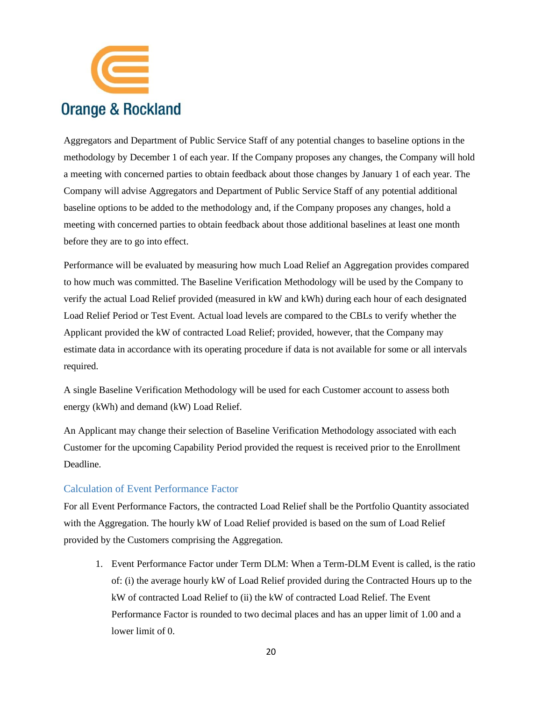![](_page_19_Picture_0.jpeg)

Aggregators and Department of Public Service Staff of any potential changes to baseline options in the methodology by December 1 of each year. If the Company proposes any changes, the Company will hold a meeting with concerned parties to obtain feedback about those changes by January 1 of each year. The Company will advise Aggregators and Department of Public Service Staff of any potential additional baseline options to be added to the methodology and, if the Company proposes any changes, hold a meeting with concerned parties to obtain feedback about those additional baselines at least one month before they are to go into effect.

Performance will be evaluated by measuring how much Load Relief an Aggregation provides compared to how much was committed. The Baseline Verification Methodology will be used by the Company to verify the actual Load Relief provided (measured in kW and kWh) during each hour of each designated Load Relief Period or Test Event. Actual load levels are compared to the CBLs to verify whether the Applicant provided the kW of contracted Load Relief; provided, however, that the Company may estimate data in accordance with its operating procedure if data is not available for some or all intervals required.

A single Baseline Verification Methodology will be used for each Customer account to assess both energy (kWh) and demand (kW) Load Relief.

An Applicant may change their selection of Baseline Verification Methodology associated with each Customer for the upcoming Capability Period provided the request is received prior to the Enrollment Deadline.

#### <span id="page-19-0"></span>Calculation of Event Performance Factor

For all Event Performance Factors, the contracted Load Relief shall be the Portfolio Quantity associated with the Aggregation. The hourly kW of Load Relief provided is based on the sum of Load Relief provided by the Customers comprising the Aggregation.

1. Event Performance Factor under Term DLM: When a Term-DLM Event is called, is the ratio of: (i) the average hourly kW of Load Relief provided during the Contracted Hours up to the kW of contracted Load Relief to (ii) the kW of contracted Load Relief. The Event Performance Factor is rounded to two decimal places and has an upper limit of 1.00 and a lower limit of 0.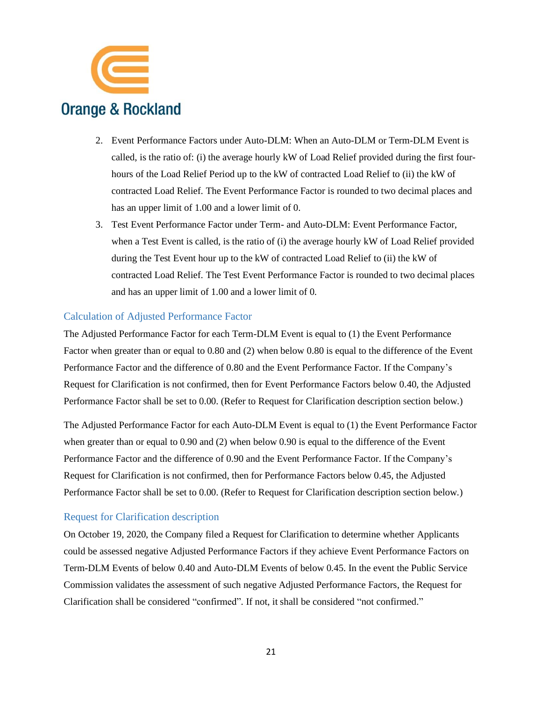![](_page_20_Picture_0.jpeg)

- 2. Event Performance Factors under Auto-DLM: When an Auto-DLM or Term-DLM Event is called, is the ratio of: (i) the average hourly kW of Load Relief provided during the first fourhours of the Load Relief Period up to the kW of contracted Load Relief to (ii) the kW of contracted Load Relief. The Event Performance Factor is rounded to two decimal places and has an upper limit of 1.00 and a lower limit of 0.
- 3. Test Event Performance Factor under Term- and Auto-DLM: Event Performance Factor, when a Test Event is called, is the ratio of (i) the average hourly kW of Load Relief provided during the Test Event hour up to the kW of contracted Load Relief to (ii) the kW of contracted Load Relief. The Test Event Performance Factor is rounded to two decimal places and has an upper limit of 1.00 and a lower limit of 0.

#### <span id="page-20-0"></span>Calculation of Adjusted Performance Factor

The Adjusted Performance Factor for each Term-DLM Event is equal to (1) the Event Performance Factor when greater than or equal to 0.80 and (2) when below 0.80 is equal to the difference of the Event Performance Factor and the difference of 0.80 and the Event Performance Factor. If the Company's Request for Clarification is not confirmed, then for Event Performance Factors below 0.40, the Adjusted Performance Factor shall be set to 0.00. (Refer to Request for Clarification description section below.)

The Adjusted Performance Factor for each Auto-DLM Event is equal to (1) the Event Performance Factor when greater than or equal to 0.90 and (2) when below 0.90 is equal to the difference of the Event Performance Factor and the difference of 0.90 and the Event Performance Factor. If the Company's Request for Clarification is not confirmed, then for Performance Factors below 0.45, the Adjusted Performance Factor shall be set to 0.00. (Refer to Request for Clarification description section below.)

#### <span id="page-20-1"></span>Request for Clarification description

On October 19, 2020, the Company filed a Request for Clarification to determine whether Applicants could be assessed negative Adjusted Performance Factors if they achieve Event Performance Factors on Term-DLM Events of below 0.40 and Auto-DLM Events of below 0.45. In the event the Public Service Commission validates the assessment of such negative Adjusted Performance Factors, the Request for Clarification shall be considered "confirmed". If not, it shall be considered "not confirmed."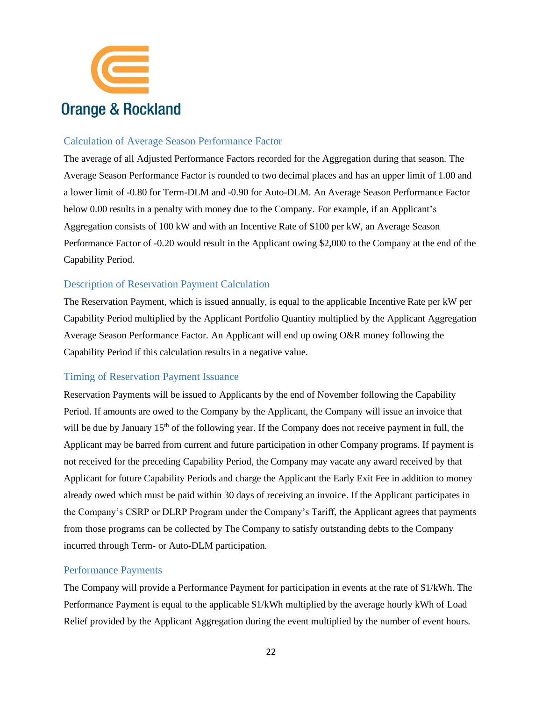![](_page_21_Picture_0.jpeg)

#### <span id="page-21-0"></span>Calculation of Average Season Performance Factor

The average of all Adjusted Performance Factors recorded for the Aggregation during that season. The Average Season Performance Factor is rounded to two decimal places and has an upper limit of 1.00 and a lower limit of -0.80 for Term-DLM and -0.90 for Auto-DLM. An Average Season Performance Factor below 0.00 results in a penalty with money due to the Company. For example, if an Applicant's Aggregation consists of 100 kW and with an Incentive Rate of \$100 per kW, an Average Season Performance Factor of -0.20 would result in the Applicant owing \$2,000 to the Company at the end of the Capability Period.

#### <span id="page-21-1"></span>Description of Reservation Payment Calculation

The Reservation Payment, which is issued annually, is equal to the applicable Incentive Rate per kW per Capability Period multiplied by the Applicant Portfolio Quantity multiplied by the Applicant Aggregation Average Season Performance Factor. An Applicant will end up owing O&R money following the Capability Period if this calculation results in a negative value.

#### <span id="page-21-2"></span>Timing of Reservation Payment Issuance

Reservation Payments will be issued to Applicants by the end of November following the Capability Period. If amounts are owed to the Company by the Applicant, the Company will issue an invoice that will be due by January  $15<sup>th</sup>$  of the following year. If the Company does not receive payment in full, the Applicant may be barred from current and future participation in other Company programs. If payment is not received for the preceding Capability Period, the Company may vacate any award received by that Applicant for future Capability Periods and charge the Applicant the Early Exit Fee in addition to money already owed which must be paid within 30 days of receiving an invoice. If the Applicant participates in the Company's CSRP or DLRP Program under the Company's Tariff, the Applicant agrees that payments from those programs can be collected by The Company to satisfy outstanding debts to the Company incurred through Term- or Auto-DLM participation.

#### <span id="page-21-3"></span>Performance Payments

The Company will provide a Performance Payment for participation in events at the rate of \$1/kWh. The Performance Payment is equal to the applicable \$1/kWh multiplied by the average hourly kWh of Load Relief provided by the Applicant Aggregation during the event multiplied by the number of event hours.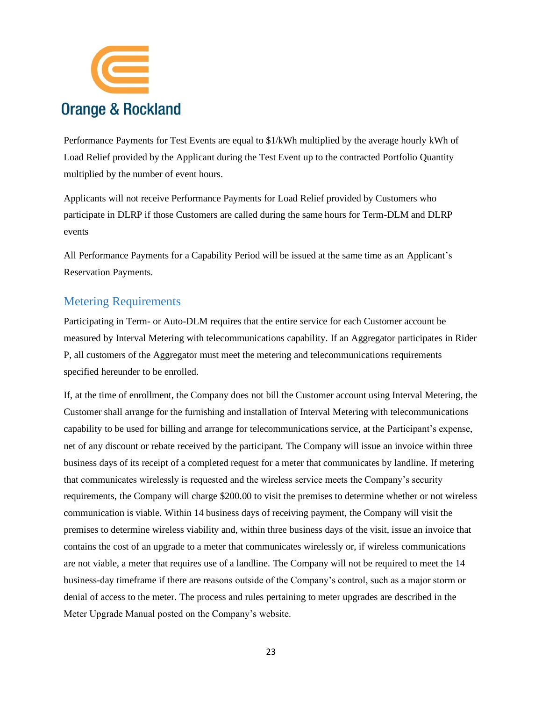![](_page_22_Picture_0.jpeg)

Performance Payments for Test Events are equal to \$1/kWh multiplied by the average hourly kWh of Load Relief provided by the Applicant during the Test Event up to the contracted Portfolio Quantity multiplied by the number of event hours.

Applicants will not receive Performance Payments for Load Relief provided by Customers who participate in DLRP if those Customers are called during the same hours for Term-DLM and DLRP events

All Performance Payments for a Capability Period will be issued at the same time as an Applicant's Reservation Payments.

## <span id="page-22-0"></span>Metering Requirements

Participating in Term- or Auto-DLM requires that the entire service for each Customer account be measured by Interval Metering with telecommunications capability. If an Aggregator participates in Rider P, all customers of the Aggregator must meet the metering and telecommunications requirements specified hereunder to be enrolled.

If, at the time of enrollment, the Company does not bill the Customer account using Interval Metering, the Customer shall arrange for the furnishing and installation of Interval Metering with telecommunications capability to be used for billing and arrange for telecommunications service, at the Participant's expense, net of any discount or rebate received by the participant. The Company will issue an invoice within three business days of its receipt of a completed request for a meter that communicates by landline. If metering that communicates wirelessly is requested and the wireless service meets the Company's security requirements, the Company will charge \$200.00 to visit the premises to determine whether or not wireless communication is viable. Within 14 business days of receiving payment, the Company will visit the premises to determine wireless viability and, within three business days of the visit, issue an invoice that contains the cost of an upgrade to a meter that communicates wirelessly or, if wireless communications are not viable, a meter that requires use of a landline. The Company will not be required to meet the 14 business-day timeframe if there are reasons outside of the Company's control, such as a major storm or denial of access to the meter. The process and rules pertaining to meter upgrades are described in the Meter Upgrade Manual posted on the Company's website.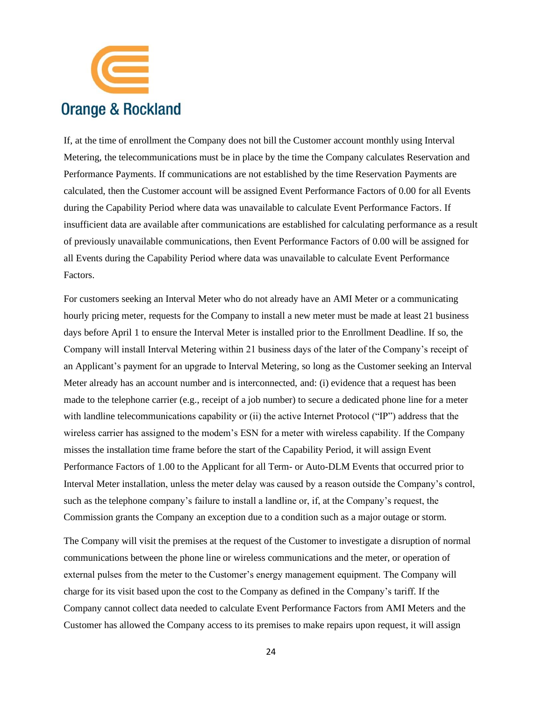![](_page_23_Picture_0.jpeg)

If, at the time of enrollment the Company does not bill the Customer account monthly using Interval Metering, the telecommunications must be in place by the time the Company calculates Reservation and Performance Payments. If communications are not established by the time Reservation Payments are calculated, then the Customer account will be assigned Event Performance Factors of 0.00 for all Events during the Capability Period where data was unavailable to calculate Event Performance Factors. If insufficient data are available after communications are established for calculating performance as a result of previously unavailable communications, then Event Performance Factors of 0.00 will be assigned for all Events during the Capability Period where data was unavailable to calculate Event Performance Factors.

For customers seeking an Interval Meter who do not already have an AMI Meter or a communicating hourly pricing meter, requests for the Company to install a new meter must be made at least 21 business days before April 1 to ensure the Interval Meter is installed prior to the Enrollment Deadline. If so, the Company will install Interval Metering within 21 business days of the later of the Company's receipt of an Applicant's payment for an upgrade to Interval Metering, so long as the Customer seeking an Interval Meter already has an account number and is interconnected, and: (i) evidence that a request has been made to the telephone carrier (e.g., receipt of a job number) to secure a dedicated phone line for a meter with landline telecommunications capability or (ii) the active Internet Protocol ("IP") address that the wireless carrier has assigned to the modem's ESN for a meter with wireless capability. If the Company misses the installation time frame before the start of the Capability Period, it will assign Event Performance Factors of 1.00 to the Applicant for all Term- or Auto-DLM Events that occurred prior to Interval Meter installation, unless the meter delay was caused by a reason outside the Company's control, such as the telephone company's failure to install a landline or, if, at the Company's request, the Commission grants the Company an exception due to a condition such as a major outage or storm.

The Company will visit the premises at the request of the Customer to investigate a disruption of normal communications between the phone line or wireless communications and the meter, or operation of external pulses from the meter to the Customer's energy management equipment. The Company will charge for its visit based upon the cost to the Company as defined in the Company's tariff. If the Company cannot collect data needed to calculate Event Performance Factors from AMI Meters and the Customer has allowed the Company access to its premises to make repairs upon request, it will assign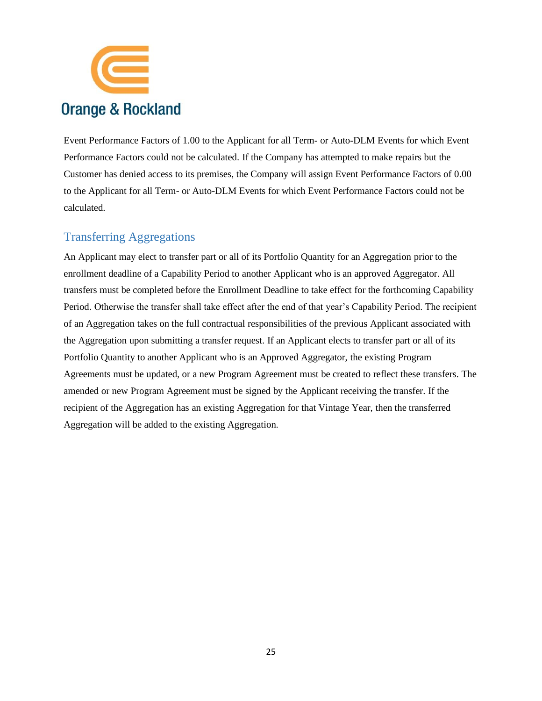![](_page_24_Picture_0.jpeg)

Event Performance Factors of 1.00 to the Applicant for all Term- or Auto-DLM Events for which Event Performance Factors could not be calculated. If the Company has attempted to make repairs but the Customer has denied access to its premises, the Company will assign Event Performance Factors of 0.00 to the Applicant for all Term- or Auto-DLM Events for which Event Performance Factors could not be calculated.

## <span id="page-24-0"></span>Transferring Aggregations

An Applicant may elect to transfer part or all of its Portfolio Quantity for an Aggregation prior to the enrollment deadline of a Capability Period to another Applicant who is an approved Aggregator. All transfers must be completed before the Enrollment Deadline to take effect for the forthcoming Capability Period. Otherwise the transfer shall take effect after the end of that year's Capability Period. The recipient of an Aggregation takes on the full contractual responsibilities of the previous Applicant associated with the Aggregation upon submitting a transfer request. If an Applicant elects to transfer part or all of its Portfolio Quantity to another Applicant who is an Approved Aggregator, the existing Program Agreements must be updated, or a new Program Agreement must be created to reflect these transfers. The amended or new Program Agreement must be signed by the Applicant receiving the transfer. If the recipient of the Aggregation has an existing Aggregation for that Vintage Year, then the transferred Aggregation will be added to the existing Aggregation.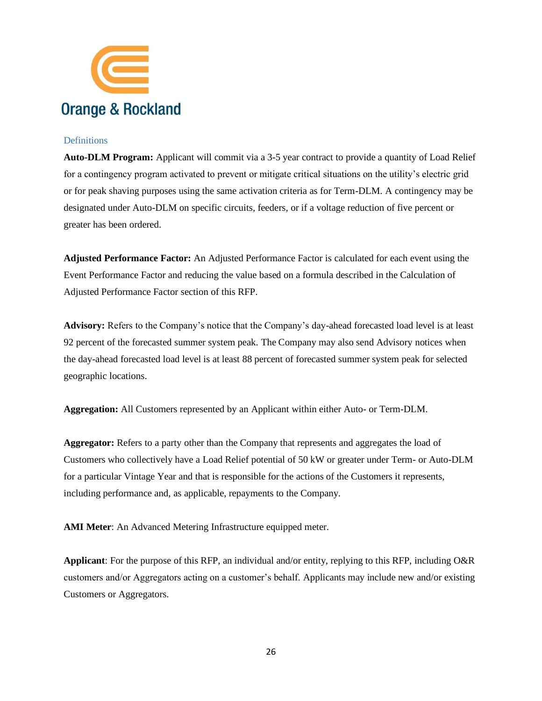![](_page_25_Picture_0.jpeg)

#### <span id="page-25-0"></span>**Definitions**

**Auto-DLM Program:** Applicant will commit via a 3-5 year contract to provide a quantity of Load Relief for a contingency program activated to prevent or mitigate critical situations on the utility's electric grid or for peak shaving purposes using the same activation criteria as for Term-DLM. A contingency may be designated under Auto-DLM on specific circuits, feeders, or if a voltage reduction of five percent or greater has been ordered.

**Adjusted Performance Factor:** An Adjusted Performance Factor is calculated for each event using the Event Performance Factor and reducing the value based on a formula described in the Calculation of Adjusted Performance Factor section of this RFP.

**Advisory:** Refers to the Company's notice that the Company's day-ahead forecasted load level is at least 92 percent of the forecasted summer system peak. The Company may also send Advisory notices when the day-ahead forecasted load level is at least 88 percent of forecasted summer system peak for selected geographic locations.

**Aggregation:** All Customers represented by an Applicant within either Auto- or Term-DLM.

**Aggregator:** Refers to a party other than the Company that represents and aggregates the load of Customers who collectively have a Load Relief potential of 50 kW or greater under Term- or Auto-DLM for a particular Vintage Year and that is responsible for the actions of the Customers it represents, including performance and, as applicable, repayments to the Company.

**AMI Meter**: An Advanced Metering Infrastructure equipped meter.

**Applicant**: For the purpose of this RFP, an individual and/or entity, replying to this RFP, including O&R customers and/or Aggregators acting on a customer's behalf. Applicants may include new and/or existing Customers or Aggregators.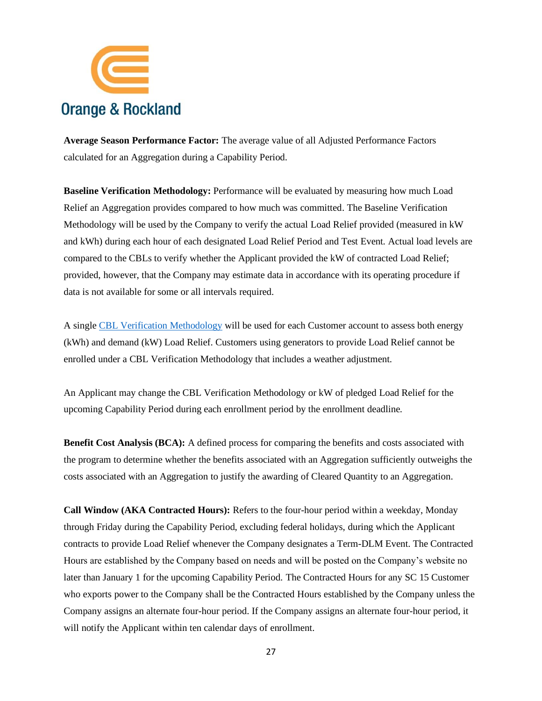![](_page_26_Picture_0.jpeg)

**Average Season Performance Factor:** The average value of all Adjusted Performance Factors calculated for an Aggregation during a Capability Period.

**Baseline Verification Methodology:** Performance will be evaluated by measuring how much Load Relief an Aggregation provides compared to how much was committed. The Baseline Verification Methodology will be used by the Company to verify the actual Load Relief provided (measured in kW and kWh) during each hour of each designated Load Relief Period and Test Event. Actual load levels are compared to the CBLs to verify whether the Applicant provided the kW of contracted Load Relief; provided, however, that the Company may estimate data in accordance with its operating procedure if data is not available for some or all intervals required.

A singl[e CBL Verification Methodology](https://www.oru.com/-/media/files/oru/documents/saveenergyandmoney/choose-smart-usage-rewards/customerbaselineloadprocedure.pdf?la=en) will be used for each Customer account to assess both energy (kWh) and demand (kW) Load Relief. Customers using generators to provide Load Relief cannot be enrolled under a CBL Verification Methodology that includes a weather adjustment.

An Applicant may change the CBL Verification Methodology or kW of pledged Load Relief for the upcoming Capability Period during each enrollment period by the enrollment deadline.

**Benefit Cost Analysis (BCA):** A defined process for comparing the benefits and costs associated with the program to determine whether the benefits associated with an Aggregation sufficiently outweighs the costs associated with an Aggregation to justify the awarding of Cleared Quantity to an Aggregation.

**Call Window (AKA Contracted Hours):** Refers to the four-hour period within a weekday, Monday through Friday during the Capability Period, excluding federal holidays, during which the Applicant contracts to provide Load Relief whenever the Company designates a Term-DLM Event. The Contracted Hours are established by the Company based on needs and will be posted on the Company's website no later than January 1 for the upcoming Capability Period. The Contracted Hours for any SC 15 Customer who exports power to the Company shall be the Contracted Hours established by the Company unless the Company assigns an alternate four-hour period. If the Company assigns an alternate four-hour period, it will notify the Applicant within ten calendar days of enrollment.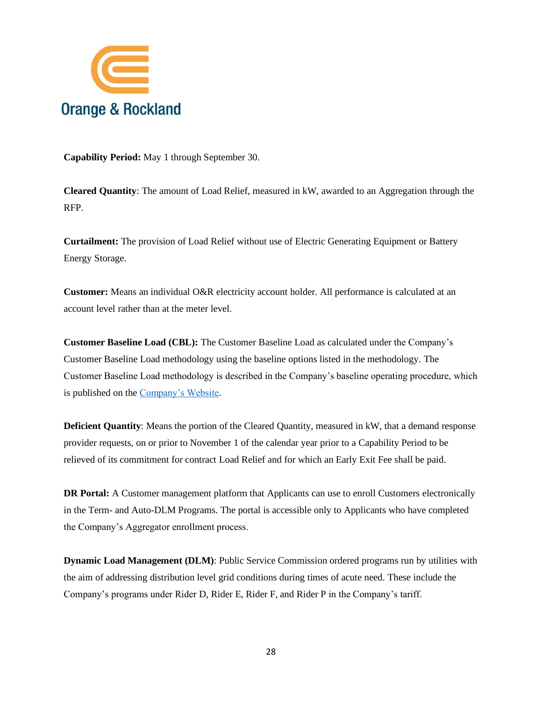![](_page_27_Picture_0.jpeg)

**Capability Period:** May 1 through September 30.

**Cleared Quantity**: The amount of Load Relief, measured in kW, awarded to an Aggregation through the RFP.

**Curtailment:** The provision of Load Relief without use of Electric Generating Equipment or Battery Energy Storage.

**Customer:** Means an individual O&R electricity account holder. All performance is calculated at an account level rather than at the meter level.

**Customer Baseline Load (CBL):** The Customer Baseline Load as calculated under the Company's Customer Baseline Load methodology using the baseline options listed in the methodology. The Customer Baseline Load methodology is described in the Company's baseline operating procedure, which is published on th[e Company's Website.](https://www.oru.com/-/media/files/oru/documents/saveenergyandmoney/choose-smart-usage-rewards/customerbaselineloadprocedure.pdf?la=en)

**Deficient Quantity**: Means the portion of the Cleared Quantity, measured in kW, that a demand response provider requests, on or prior to November 1 of the calendar year prior to a Capability Period to be relieved of its commitment for contract Load Relief and for which an Early Exit Fee shall be paid.

**DR Portal:** A Customer management platform that Applicants can use to enroll Customers electronically in the Term- and Auto-DLM Programs. The portal is accessible only to Applicants who have completed the Company's Aggregator enrollment process.

**Dynamic Load Management (DLM)**: Public Service Commission ordered programs run by utilities with the aim of addressing distribution level grid conditions during times of acute need. These include the Company's programs under Rider D, Rider E, Rider F, and Rider P in the Company's tariff.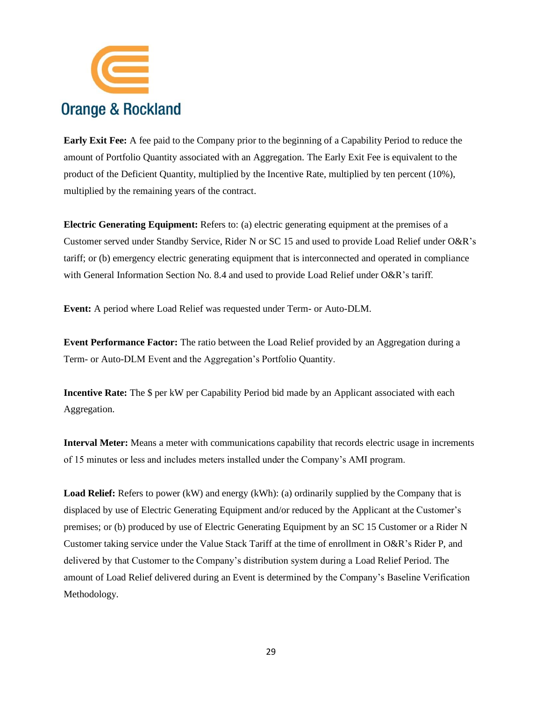![](_page_28_Picture_0.jpeg)

**Early Exit Fee:** A fee paid to the Company prior to the beginning of a Capability Period to reduce the amount of Portfolio Quantity associated with an Aggregation. The Early Exit Fee is equivalent to the product of the Deficient Quantity, multiplied by the Incentive Rate, multiplied by ten percent (10%), multiplied by the remaining years of the contract.

**Electric Generating Equipment:** Refers to: (a) electric generating equipment at the premises of a Customer served under Standby Service, Rider N or SC 15 and used to provide Load Relief under O&R's tariff; or (b) emergency electric generating equipment that is interconnected and operated in compliance with General Information Section No. 8.4 and used to provide Load Relief under O&R's tariff.

**Event:** A period where Load Relief was requested under Term- or Auto-DLM.

**Event Performance Factor:** The ratio between the Load Relief provided by an Aggregation during a Term- or Auto-DLM Event and the Aggregation's Portfolio Quantity.

**Incentive Rate:** The \$ per kW per Capability Period bid made by an Applicant associated with each Aggregation.

**Interval Meter:** Means a meter with communications capability that records electric usage in increments of 15 minutes or less and includes meters installed under the Company's AMI program.

**Load Relief:** Refers to power (kW) and energy (kWh): (a) ordinarily supplied by the Company that is displaced by use of Electric Generating Equipment and/or reduced by the Applicant at the Customer's premises; or (b) produced by use of Electric Generating Equipment by an SC 15 Customer or a Rider N Customer taking service under the Value Stack Tariff at the time of enrollment in O&R's Rider P, and delivered by that Customer to the Company's distribution system during a Load Relief Period. The amount of Load Relief delivered during an Event is determined by the Company's Baseline Verification Methodology.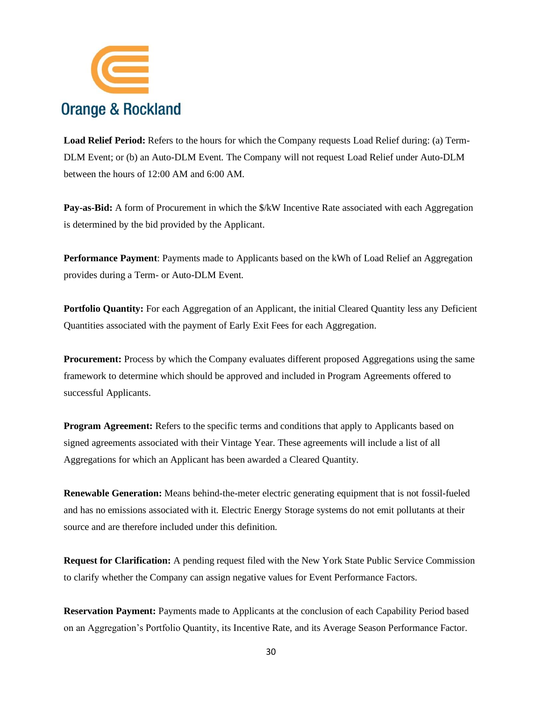![](_page_29_Picture_0.jpeg)

**Load Relief Period:** Refers to the hours for which the Company requests Load Relief during: (a) Term-DLM Event; or (b) an Auto-DLM Event. The Company will not request Load Relief under Auto-DLM between the hours of 12:00 AM and 6:00 AM.

**Pay-as-Bid:** A form of Procurement in which the  $\frac{R}{W}$  Incentive Rate associated with each Aggregation is determined by the bid provided by the Applicant.

**Performance Payment**: Payments made to Applicants based on the kWh of Load Relief an Aggregation provides during a Term- or Auto-DLM Event.

**Portfolio Quantity:** For each Aggregation of an Applicant, the initial Cleared Quantity less any Deficient Quantities associated with the payment of Early Exit Fees for each Aggregation.

**Procurement:** Process by which the Company evaluates different proposed Aggregations using the same framework to determine which should be approved and included in Program Agreements offered to successful Applicants.

**Program Agreement:** Refers to the specific terms and conditions that apply to Applicants based on signed agreements associated with their Vintage Year. These agreements will include a list of all Aggregations for which an Applicant has been awarded a Cleared Quantity.

**Renewable Generation:** Means behind-the-meter electric generating equipment that is not fossil-fueled and has no emissions associated with it. Electric Energy Storage systems do not emit pollutants at their source and are therefore included under this definition.

**Request for Clarification:** A pending request filed with the New York State Public Service Commission to clarify whether the Company can assign negative values for Event Performance Factors.

**Reservation Payment:** Payments made to Applicants at the conclusion of each Capability Period based on an Aggregation's Portfolio Quantity, its Incentive Rate, and its Average Season Performance Factor.